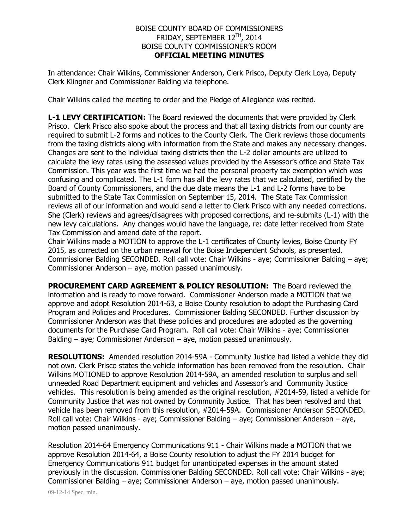## BOISE COUNTY BOARD OF COMMISSIONERS FRIDAY, SEPTEMBER 12TH, 2014 BOISE COUNTY COMMISSIONER'S ROOM **OFFICIAL MEETING MINUTES**

In attendance: Chair Wilkins, Commissioner Anderson, Clerk Prisco, Deputy Clerk Loya, Deputy Clerk Klingner and Commissioner Balding via telephone.

Chair Wilkins called the meeting to order and the Pledge of Allegiance was recited.

**L-1 LEVY CERTIFICATION:** The Board reviewed the documents that were provided by Clerk Prisco. Clerk Prisco also spoke about the process and that all taxing districts from our county are required to submit L-2 forms and notices to the County Clerk. The Clerk reviews those documents from the taxing districts along with information from the State and makes any necessary changes. Changes are sent to the individual taxing districts then the L-2 dollar amounts are utilized to calculate the levy rates using the assessed values provided by the Assessor's office and State Tax Commission. This year was the first time we had the personal property tax exemption which was confusing and complicated. The L-1 form has all the levy rates that we calculated, certified by the Board of County Commissioners, and the due date means the L-1 and L-2 forms have to be submitted to the State Tax Commission on September 15, 2014. The State Tax Commission reviews all of our information and would send a letter to Clerk Prisco with any needed corrections. She (Clerk) reviews and agrees/disagrees with proposed corrections, and re-submits (L-1) with the new levy calculations. Any changes would have the language, re: date letter received from State Tax Commission and amend date of the report.

Chair Wilkins made a MOTION to approve the L-1 certificates of County levies, Boise County FY 2015, as corrected on the urban renewal for the Boise Independent Schools, as presented. Commissioner Balding SECONDED. Roll call vote: Chair Wilkins - aye; Commissioner Balding – aye; Commissioner Anderson – aye, motion passed unanimously.

**PROCUREMENT CARD AGREEMENT & POLICY RESOLUTION:** The Board reviewed the information and is ready to move forward. Commissioner Anderson made a MOTION that we approve and adopt Resolution 2014-63, a Boise County resolution to adopt the Purchasing Card Program and Policies and Procedures. Commissioner Balding SECONDED. Further discussion by Commissioner Anderson was that these policies and procedures are adopted as the governing documents for the Purchase Card Program. Roll call vote: Chair Wilkins - aye; Commissioner Balding – aye; Commissioner Anderson – aye, motion passed unanimously.

**RESOLUTIONS:** Amended resolution 2014-59A - Community Justice had listed a vehicle they did not own. Clerk Prisco states the vehicle information has been removed from the resolution. Chair Wilkins MOTIONED to approve Resolution 2014-59A, an amended resolution to surplus and sell unneeded Road Department equipment and vehicles and Assessor's and Community Justice vehicles. This resolution is being amended as the original resolution, #2014-59, listed a vehicle for Community Justice that was not owned by Community Justice. That has been resolved and that vehicle has been removed from this resolution, #2014-59A. Commissioner Anderson SECONDED. Roll call vote: Chair Wilkins - aye; Commissioner Balding – aye; Commissioner Anderson – aye, motion passed unanimously.

Resolution 2014-64 Emergency Communications 911 - Chair Wilkins made a MOTION that we approve Resolution 2014-64, a Boise County resolution to adjust the FY 2014 budget for Emergency Communications 911 budget for unanticipated expenses in the amount stated previously in the discussion. Commissioner Balding SECONDED. Roll call vote: Chair Wilkins - aye; Commissioner Balding – aye; Commissioner Anderson – aye, motion passed unanimously.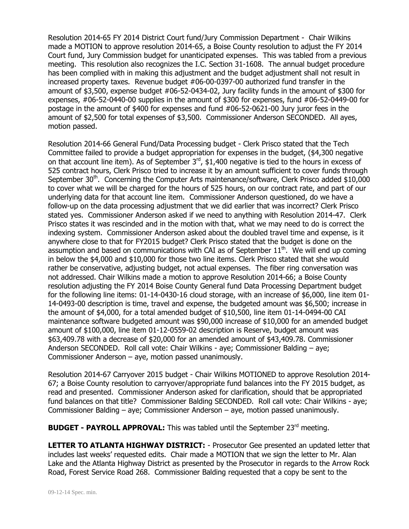Resolution 2014-65 FY 2014 District Court fund/Jury Commission Department - Chair Wilkins made a MOTION to approve resolution 2014-65, a Boise County resolution to adjust the FY 2014 Court fund, Jury Commission budget for unanticipated expenses. This was tabled from a previous meeting. This resolution also recognizes the I.C. Section 31-1608. The annual budget procedure has been complied with in making this adjustment and the budget adjustment shall not result in increased property taxes. Revenue budget #06-00-0397-00 authorized fund transfer in the amount of \$3,500, expense budget #06-52-0434-02, Jury facility funds in the amount of \$300 for expenses, #06-52-0440-00 supplies in the amount of \$300 for expenses, fund #06-52-0449-00 for postage in the amount of \$400 for expenses and fund #06-52-0621-00 Jury juror fees in the amount of \$2,500 for total expenses of \$3,500. Commissioner Anderson SECONDED. All ayes, motion passed.

Resolution 2014-66 General Fund/Data Processing budget - Clerk Prisco stated that the Tech Committee failed to provide a budget appropriation for expenses in the budget, (\$4,300 negative on that account line item). As of September  $3^{rd}$ , \$1,400 negative is tied to the hours in excess of 525 contract hours, Clerk Prisco tried to increase it by an amount sufficient to cover funds through September 30<sup>th</sup>. Concerning the Computer Arts maintenance/software, Clerk Prisco added \$10,000 to cover what we will be charged for the hours of 525 hours, on our contract rate, and part of our underlying data for that account line item. Commissioner Anderson questioned, do we have a follow-up on the data processing adjustment that we did earlier that was incorrect? Clerk Prisco stated yes. Commissioner Anderson asked if we need to anything with Resolution 2014-47. Clerk Prisco states it was rescinded and in the motion with that, what we may need to do is correct the indexing system. Commissioner Anderson asked about the doubled travel time and expense, is it anywhere close to that for FY2015 budget? Clerk Prisco stated that the budget is done on the assumption and based on communications with CAI as of September  $11<sup>th</sup>$ . We will end up coming in below the \$4,000 and \$10,000 for those two line items. Clerk Prisco stated that she would rather be conservative, adjusting budget, not actual expenses. The fiber ring conversation was not addressed. Chair Wilkins made a motion to approve Resolution 2014-66; a Boise County resolution adjusting the FY 2014 Boise County General fund Data Processing Department budget for the following line items: 01-14-0430-16 cloud storage, with an increase of \$6,000, line item 01- 14-0493-00 description is time, travel and expense, the budgeted amount was \$6,500; increase in the amount of \$4,000, for a total amended budget of \$10,500, line item 01-14-0494-00 CAI maintenance software budgeted amount was \$90,000 increase of \$10,000 for an amended budget amount of \$100,000, line item 01-12-0559-02 description is Reserve, budget amount was \$63,409.78 with a decrease of \$20,000 for an amended amount of \$43,409.78. Commissioner Anderson SECONDED. Roll call vote: Chair Wilkins - aye; Commissioner Balding – aye; Commissioner Anderson – aye, motion passed unanimously.

Resolution 2014-67 Carryover 2015 budget - Chair Wilkins MOTIONED to approve Resolution 2014- 67; a Boise County resolution to carryover/appropriate fund balances into the FY 2015 budget, as read and presented. Commissioner Anderson asked for clarification, should that be appropriated fund balances on that title? Commissioner Balding SECONDED. Roll call vote: Chair Wilkins - aye; Commissioner Balding – aye; Commissioner Anderson – aye, motion passed unanimously.

**BUDGET - PAYROLL APPROVAL:** This was tabled until the September 23<sup>rd</sup> meeting.

**LETTER TO ATLANTA HIGHWAY DISTRICT:** - Prosecutor Gee presented an updated letter that includes last weeks' requested edits. Chair made a MOTION that we sign the letter to Mr. Alan Lake and the Atlanta Highway District as presented by the Prosecutor in regards to the Arrow Rock Road, Forest Service Road 268. Commissioner Balding requested that a copy be sent to the